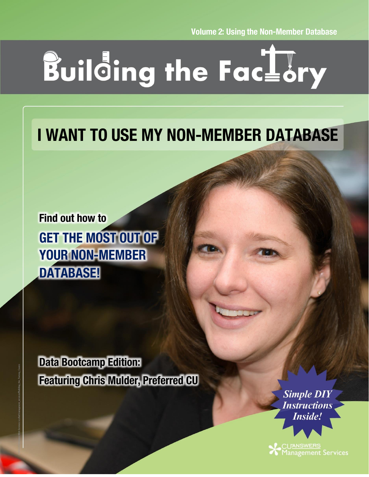**Volume 2: Using the Non-Member Database** 

# Building the Factory

## **I WANT TO USE MY NON-MEMBER DATABASE**

**Find out how to GET THE MOST OUT OF YOUR NON-MEMBER DATABASE!** 

**Data Bootcamp Edition: Featuring Chris Mulder, Preferred CU** 

> **Simple DIY Instructions Inside!**

CU'<u>ANSWERS</u><br>Management Services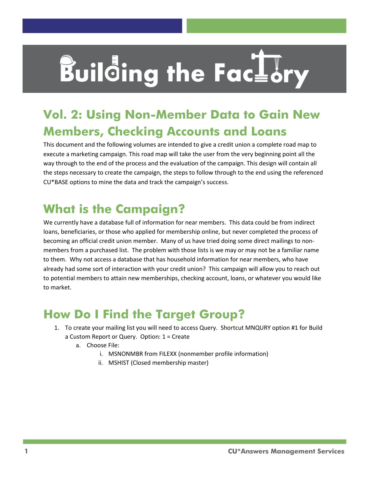## **Building the Factury**

## **Vol. 2: Using Non-Member Data to Gain New Members, Checking Accounts and Loans**

This document and the following volumes are intended to give a credit union a complete road map to execute a marketing campaign. This road map will take the user from the very beginning point all the way through to the end of the process and the evaluation of the campaign. This design will contain all the steps necessary to create the campaign, the steps to follow through to the end using the referenced CU\*BASE options to mine the data and track the campaign's success.

## **What is the Campaign?**

We currently have a database full of information for near members. This data could be from indirect loans, beneficiaries, or those who applied for membership online, but never completed the process of becoming an official credit union member. Many of us have tried doing some direct mailings to nonmembers from a purchased list. The problem with those lists is we may or may not be a familiar name to them. Why not access a database that has household information for near members, who have already had some sort of interaction with your credit union? This campaign will allow you to reach out to potential members to attain new memberships, checking account, loans, or whatever you would like to market.

### **How Do I Find the Target Group?**

- 1. To create your mailing list you will need to access Query. Shortcut MNQURY option #1 for Build a Custom Report or Query. Option: 1 = Create
	- a. Choose File:
		- i. MSNONMBR from FILEXX (nonmember profile information)
		- ii. MSHIST (Closed membership master)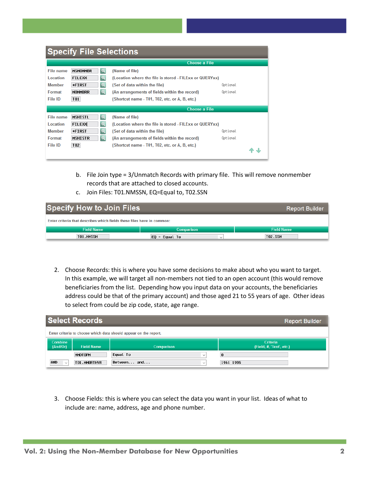| <b>Specify File Selections</b> |                                    |                                                         |          |  |  |
|--------------------------------|------------------------------------|---------------------------------------------------------|----------|--|--|
|                                |                                    | <b>Choose a File</b>                                    |          |  |  |
| File name                      | <b>MSNONMBR</b><br>$\mathcal{Q}$   | (Name of file)                                          |          |  |  |
| Location                       | <b>FILEXX</b><br>$\mathbf{\Omega}$ | (Location where the file is stored - FILExx or QUERYxx) |          |  |  |
| <b>Member</b>                  | $\mathbf{Q}$<br><b>*FIRST</b>      | (Set of data within the file)                           | Optional |  |  |
| Format                         | $\alpha$<br><b>NONMBRR</b>         | (An arrangements of fields within the record)           | Optional |  |  |
| File ID                        | T01                                | (Shortcut name - T01, T02, etc. or A, B, etc.)          |          |  |  |
|                                |                                    | <b>Choose a File</b>                                    |          |  |  |
| File name                      | <b>MSHISTL</b><br>$\Omega$         | (Name of file)                                          |          |  |  |
| Location                       | <b>FILEXX</b><br>$\alpha$          | (Location where the file is stored - FILExx or QUERYxx) |          |  |  |
| <b>Member</b>                  | $\mathbf{Q}$<br><b>*FIRST</b>      | (Set of data within the file)                           | Optional |  |  |
| Format                         | $\mathbf{Q}$<br><b>MSHISTR</b>     | (An arrangements of fields within the record)           | Optional |  |  |
| File ID                        | T <sub>02</sub>                    | (Shortcut name - T01, T02, etc. or A, B, etc.)          |          |  |  |

- b. File Join type = 3/Unmatch Records with primary file. This will remove nonmember records that are attached to closed accounts.
- c. Join Files: T01.NMSSN, EQ=Equal to, T02.SSN

| <b>Specify How to Join Files</b><br><b>Report Builder</b>              |                   |                   |  |  |
|------------------------------------------------------------------------|-------------------|-------------------|--|--|
| Enter criteria that describes which fields these files have in common: |                   |                   |  |  |
| <b>Field Name</b>                                                      | <b>Comparison</b> | <b>Field Name</b> |  |  |
| T01.NMSSN                                                              | $E0 =$ Equal To   | <b>T02.SSN</b>    |  |  |

2. Choose Records: this is where you have some decisions to make about who you want to target. In this example, we will target all non-members not tied to an open account (this would remove beneficiaries from the list. Depending how you input data on your accounts, the beneficiaries address could be that of the primary account) and those aged 21 to 55 years of age. Other ideas to select from could be zip code, state, age range.

| <b>Select Records</b><br><b>Report Builder</b>                   |                   |                             |                                             |  |
|------------------------------------------------------------------|-------------------|-----------------------------|---------------------------------------------|--|
| Enter criteria to choose which data should appear on the report. |                   |                             |                                             |  |
| Combine<br>(And/Or)                                              | <b>Field Name</b> | Comparison                  | <b>Criteria</b><br>(Field, #, 'Text', etc.) |  |
|                                                                  | <b>NMDTOPN</b>    | Equal To<br>$\checkmark$    | 0                                           |  |
| <b>AND</b><br>$\checkmark$                                       | T01.NMBRTHYR      | Between and<br>$\checkmark$ | 1961 1995                                   |  |

3. Choose Fields: this is where you can select the data you want in your list. Ideas of what to include are: name, address, age and phone number.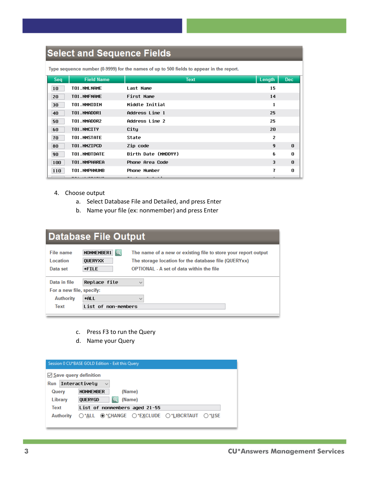#### **Select and Sequence Fields**

| Seq | <b>Field Name</b> | <b>Text</b>           | Length         | <b>Dec</b> |
|-----|-------------------|-----------------------|----------------|------------|
| 10  | T01.NMLNAME       | Last Name             | 15             |            |
| 20  | TO1.NMFNAME       | First Name            | 14             |            |
| 30  | T01.NMMIDIN       | Middle Initial        | 1              |            |
| 40  | T01.NMADDR1       | Address Line 1        | 25             |            |
| 50  | T01.NMADDR2       | <b>Address Line 2</b> | 25             |            |
| 60  | T01.NMCITY        | City                  | 20             |            |
| 70  | TO1.NMSTATE       | State                 | $\overline{2}$ |            |
| 80  | T01.NMZIPCD       | Zip code              | $\mathbf{q}$   | $\theta$   |
| 90  | T01.NMBTDATE      | Birth Date (MMDDYY)   | 6              | 0          |
| 100 | T01.NMPHAREA      | Phone Area Code       | 3              | $\theta$   |
| 110 | T01.NMPHNUMB      | <b>Phone Number</b>   | 7              | O          |

Type sequence number (0.9999) for the names of up to 500 fields to appear in the report.

- 4. Choose output
	- a. Select Database File and Detailed, and press Enter
	- b. Name your file (ex: nonmember) and press Enter

#### **Database File Output**

| The name of a new or existing file to store your report output |  |  |  |  |
|----------------------------------------------------------------|--|--|--|--|
|                                                                |  |  |  |  |
| For a new file, specify:                                       |  |  |  |  |
|                                                                |  |  |  |  |
|                                                                |  |  |  |  |
|                                                                |  |  |  |  |

- c. Press F3 to run the Query
- d. Name your Query

| Session 0 CU*BASE GOLD Edition - Exit this Query |                                                                                              |  |  |  |
|--------------------------------------------------|----------------------------------------------------------------------------------------------|--|--|--|
| $\vee$ Save query definition                     |                                                                                              |  |  |  |
| Interactivelu<br>Run<br>$\checkmark$             |                                                                                              |  |  |  |
| (Name)<br><b>NONMEMBER</b><br>Query              |                                                                                              |  |  |  |
| Library                                          | $\Omega$<br>(Name)<br><b>OUERYGD</b>                                                         |  |  |  |
| Text<br>List of nonmembers aged 21-55            |                                                                                              |  |  |  |
| <b>Authority</b>                                 | $\bigcirc$ *all $\bigcirc$ *change $\bigcirc$ *exclude $\bigcirc$ *libertaut $\bigcirc$ *use |  |  |  |
|                                                  |                                                                                              |  |  |  |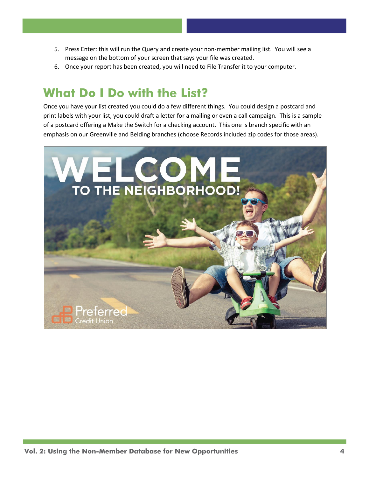- 5. Press Enter: this will run the Query and create your non-member mailing list. You will see a message on the bottom of your screen that says your file was created.
- 6. Once your report has been created, you will need to File Transfer it to your computer.

#### **What Do I Do with the List?**

Once you have your list created you could do a few different things. You could design a postcard and print labels with your list, you could draft a letter for a mailing or even a call campaign. This is a sample of a postcard offering a Make the Switch for a checking account. This one is branch specific with an emphasis on our Greenville and Belding branches (choose Records included zip codes for those areas).

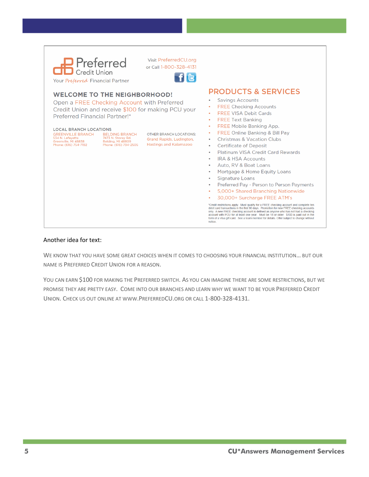| <b>Referred</b><br>Credit Union<br>Your Preferred Financial Partner                                                                                                                                                                | Visit PreferredCU.org<br>or Call 1-800-328-4131<br><b>fi</b> c                              |                                                                                                                                                                                                                                                                                                                                                                                                                                                                                                                                                                                                                                                                                                                                                                                                                                                                                                                                                                                                       |
|------------------------------------------------------------------------------------------------------------------------------------------------------------------------------------------------------------------------------------|---------------------------------------------------------------------------------------------|-------------------------------------------------------------------------------------------------------------------------------------------------------------------------------------------------------------------------------------------------------------------------------------------------------------------------------------------------------------------------------------------------------------------------------------------------------------------------------------------------------------------------------------------------------------------------------------------------------------------------------------------------------------------------------------------------------------------------------------------------------------------------------------------------------------------------------------------------------------------------------------------------------------------------------------------------------------------------------------------------------|
| <b>WELCOME TO THE NEIGHBORHOOD!</b><br>Open a FREE Checking Account with Preferred<br>Credit Union and receive \$100 for making PCU your<br>Preferred Financial Partner!*                                                          |                                                                                             | <b>PRODUCTS &amp; SERVICES</b><br><b>Savings Accounts</b><br>$\bullet$<br><b>FREE Checking Accounts</b><br>$\bullet$<br><b>FREE VISA Debit Cards</b><br>$\bullet$<br><b>FREE Text Banking</b><br>٠                                                                                                                                                                                                                                                                                                                                                                                                                                                                                                                                                                                                                                                                                                                                                                                                    |
| <b>LOCAL BRANCH LOCATIONS</b><br><b>GREENVILLE BRANCH</b><br><b>BELDING BRANCH</b><br>534 N. Lafayette<br>7473 N. Storey Rd.<br>Greenville, MI 48838<br><b>Belding, MI 48809</b><br>Phone: (616) 754-7192<br>Phone: (616) 794-2505 | <b>OTHER BRANCH LOCATIONS:</b><br>Grand Rapids, Ludington,<br><b>Hastings and Kalamazoo</b> | <b>FREE Mobile Banking App.</b><br>۰<br><b>FREE Online Banking &amp; Bill Pay</b><br>٠<br>Christmas & Vacation Clubs<br>۰<br><b>Certificate of Deposit</b><br>$\bullet$<br>Platinum VISA Credit Card Rewards<br>٠<br><b>IRA &amp; HSA Accounts</b><br>$\bullet$<br>Auto, RV & Boat Loans<br>٠<br>Mortgage & Home Equity Loans<br>$\bullet$<br><b>Signature Loans</b><br>$\bullet$<br>Preferred Pay - Person to Person Payments<br>$\bullet$<br>5,000+ Shared Branching Nationwide<br>$\bullet$<br>30,000+ Surcharge FREE ATM's<br>*Credit restrictions apply. Must qualify for a FREE checking account and complete ten<br>debit card transactions in the first 90 days. Promotion for new FREE checking accounts<br>only. A new FREE checking account is defined as anyone who has not had a checking<br>account with PCU for at least one year. Must be 18 or older. \$100 is paid out in the<br>form of a Visa gift card. See a team member for details. Offer subject to change without<br>notice |

#### Another idea for text:

WE KNOW THAT YOU HAVE SOME GREAT CHOICES WHEN IT COMES TO CHOOSING YOUR FINANCIAL INSTITUTION… BUT OUR NAME IS PREFERRED CREDIT UNION FOR A REASON.

YOU CAN EARN \$100 FOR MAKING THE PREFERRED SWITCH. AS YOU CAN IMAGINE THERE ARE SOME RESTRICTIONS, BUT WE PROMISE THEY ARE PRETTY EASY. COME INTO OUR BRANCHES AND LEARN WHY WE WANT TO BE YOUR PREFERRED CREDIT UNION. CHECK US OUT ONLINE AT WWW.PREFERREDCU.ORG OR CALL 1-800-328-4131.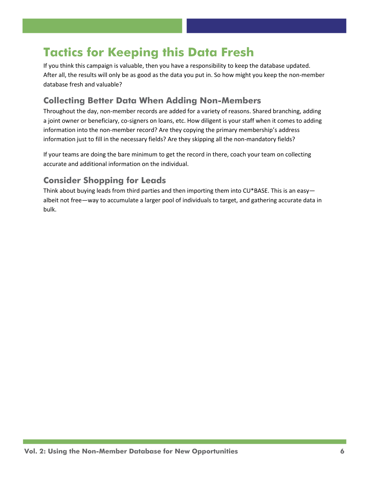### **Tactics for Keeping this Data Fresh**

If you think this campaign is valuable, then you have a responsibility to keep the database updated. After all, the results will only be as good as the data you put in. So how might you keep the non-member database fresh and valuable?

#### **Collecting Better Data When Adding Non-Members**

Throughout the day, non-member records are added for a variety of reasons. Shared branching, adding a joint owner or beneficiary, co-signers on loans, etc. How diligent is your staff when it comes to adding information into the non-member record? Are they copying the primary membership's address information just to fill in the necessary fields? Are they skipping all the non-mandatory fields?

If your teams are doing the bare minimum to get the record in there, coach your team on collecting accurate and additional information on the individual.

#### **Consider Shopping for Leads**

Think about buying leads from third parties and then importing them into CU\*BASE. This is an easyalbeit not free—way to accumulate a larger pool of individuals to target, and gathering accurate data in bulk.